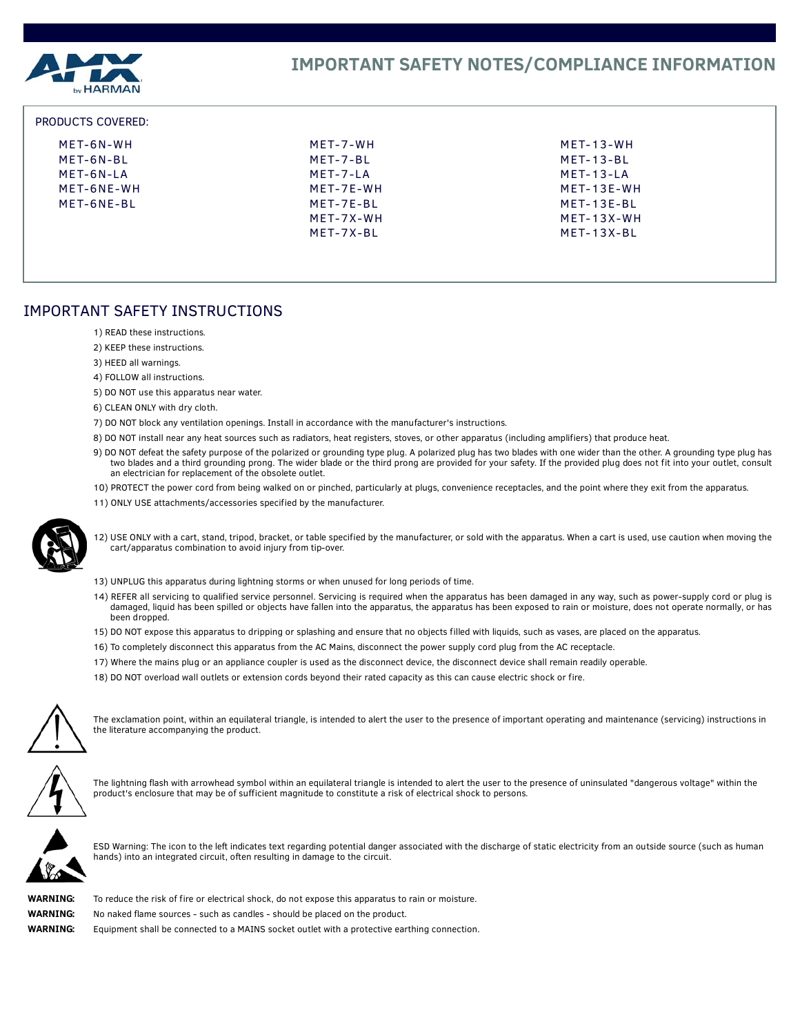

### PRODUCTS COVERED:

| MET-6N-WH  | MET-7-WH    | MET-13-WH    |
|------------|-------------|--------------|
| MET-6N-BL  | MFT-7-BL    | $MFT-13-BI$  |
| MET-6N-LA  | $MFT-7-I$ A | $MFT-13-I$ A |
| MET-6NE-WH | $MFT-7F-WH$ | MFT-13F-WH   |
| MET-6NE-BL | MET-7E-BL   | MFT-13F-BI   |
|            | MFT-7X-WH   | $MFT-13X-WH$ |
|            | MFT-7X-BI   | MET-13X-BL   |

# IMPORTANT SAFETY INSTRUCTIONS

- 1) READ these instructions.
- 2) KEEP these instructions.
- 3) HEED all warnings.
- 4) FOLLOW all instructions.
- 5) DO NOT use this apparatus near water.
- 6) CLEAN ONLY with dry cloth.
- 7) DO NOT block any ventilation openings. Install in accordance with the manufacturer's instructions.
- 8) DO NOT install near any heat sources such as radiators, heat registers, stoves, or other apparatus (including amplifiers) that produce heat.
- 9) DO NOT defeat the safety purpose of the polarized or grounding type plug. A polarized plug has two blades with one wider than the other. A grounding type plug has two blades and a third grounding prong. The wider blade or the third prong are provided for your safety. If the provided plug does not fit into your outlet, consult an electrician for replacement of the obsolete outlet.
- 10) PROTECT the power cord from being walked on or pinched, particularly at plugs, convenience receptacles, and the point where they exit from the apparatus.
- 11) ONLY USE attachments/accessories specified by the manufacturer.



12) USE ONLY with a cart, stand, tripod, bracket, or table specified by the manufacturer, or sold with the apparatus. When a cart is used, use caution when moving the cart/apparatus combination to avoid injury from tip-over.

- 13) UNPLUG this apparatus during lightning storms or when unused for long periods of time.
- 14) REFER all servicing to qualified service personnel. Servicing is required when the apparatus has been damaged in any way, such as power-supply cord or plug is damaged, liquid has been spilled or objects have fallen into the apparatus, the apparatus has been exposed to rain or moisture, does not operate normally, or has been dropped.
- 15) DO NOT expose this apparatus to dripping or splashing and ensure that no objects filled with liquids, such as vases, are placed on the apparatus.
- 16) To completely disconnect this apparatus from the AC Mains, disconnect the power supply cord plug from the AC receptacle.
- 17) Where the mains plug or an appliance coupler is used as the disconnect device, the disconnect device shall remain readily operable.
- 18) DO NOT overload wall outlets or extension cords beyond their rated capacity as this can cause electric shock or fire.



The exclamation point, within an equilateral triangle, is intended to alert the user to the presence of important operating and maintenance (servicing) instructions in the literature accompanying the product.



The lightning flash with arrowhead symbol within an equilateral triangle is intended to alert the user to the presence of uninsulated "dangerous voltage" within the product's enclosure that may be of sufficient magnitude to constitute a risk of electrical shock to persons.



ESD Warning: The icon to the left indicates text regarding potential danger associated with the discharge of static electricity from an outside source (such as human hands) into an integrated circuit, often resulting in damage to the circuit.



**WARNING:** To reduce the risk of fire or electrical shock, do not expose this apparatus to rain or moisture. **WARNING:** No naked flame sources - such as candles - should be placed on the product. **WARNING:** Equipment shall be connected to a MAINS socket outlet with a protective earthing connection.